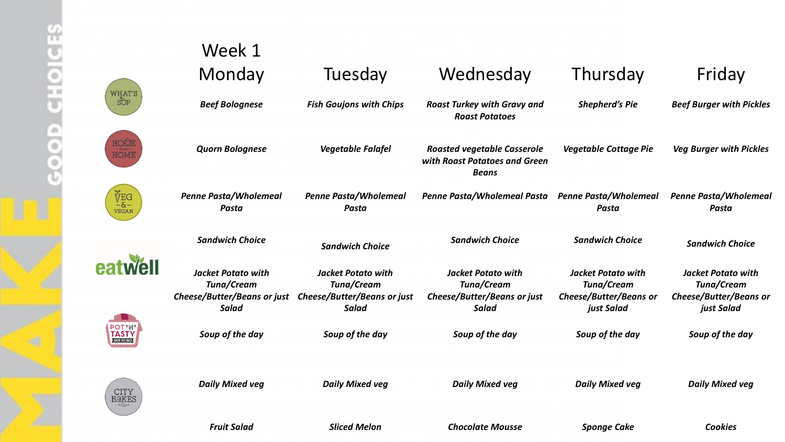|                                             | Week 1                                                                                 |                                                                                        |                                                                                               |                                                                                 |                                                                                 |
|---------------------------------------------|----------------------------------------------------------------------------------------|----------------------------------------------------------------------------------------|-----------------------------------------------------------------------------------------------|---------------------------------------------------------------------------------|---------------------------------------------------------------------------------|
|                                             | Monday                                                                                 | Tuesday                                                                                | Wednesday                                                                                     | Thursday                                                                        | Friday                                                                          |
| <b>WHAT'S</b><br>SÖP                        | <b>Beef Bolognese</b>                                                                  | <b>Fish Goujons with Chips</b>                                                         | <b>Roast Turkey with Gravy and</b><br><b>Roast Potatoes</b>                                   | <b>Shepherd's Pie</b>                                                           | <b>Beef Burger with Pickles</b>                                                 |
| HOQE<br>HOME                                | <b>Quorn Bolognese</b>                                                                 | Vegetable Falafel                                                                      | <b>Roasted vegetable Casserole</b><br>with Roast Potatoes and Green<br><b>Beans</b>           | <b>Vegetable Cottage Pie</b>                                                    | <b>Veg Burger with Pickles</b>                                                  |
| ₿ĔG<br>$-8-$<br><b>VEGAN</b>                | <b>Penne Pasta/Wholemeal</b><br>Pasta                                                  | <b>Penne Pasta/Wholemeal</b><br>Pasta                                                  | Penne Pasta/Wholemeal Pasta                                                                   | <b>Penne Pasta/Wholemeal</b><br>Pasta                                           | <b>Penne Pasta/Wholemeal</b><br>Pasta                                           |
|                                             | <b>Sandwich Choice</b>                                                                 | <b>Sandwich Choice</b>                                                                 | <b>Sandwich Choice</b>                                                                        | <b>Sandwich Choice</b>                                                          | <b>Sandwich Choice</b>                                                          |
|                                             | <b>Jacket Potato with</b><br>Tuna/Cream<br>Cheese/Butter/Beans or just<br><b>Salad</b> | <b>Jacket Potato with</b><br>Tuna/Cream<br>Cheese/Butter/Beans or just<br><b>Salad</b> | <b>Jacket Potato with</b><br><b>Tuna/Cream</b><br>Cheese/Butter/Beans or just<br><b>Salad</b> | <b>Jacket Potato with</b><br>Tuna/Cream<br>Cheese/Butter/Beans or<br>just Salad | <b>Jacket Potato with</b><br>Tuna/Cream<br>Cheese/Butter/Beans or<br>just Salad |
| <b>POT</b> 'N'<br><b>TASTY</b><br>HOT TO GO | Soup of the day                                                                        | Soup of the day                                                                        | Soup of the day                                                                               | Soup of the day                                                                 | Soup of the day                                                                 |
| <b>CITY</b><br><b>BAKES</b>                 | <b>Daily Mixed veg</b>                                                                 | <b>Daily Mixed veg</b>                                                                 | <b>Daily Mixed veg</b>                                                                        | <b>Daily Mixed veg</b>                                                          | <b>Daily Mixed veg</b>                                                          |
|                                             | <b>Fruit Salad</b>                                                                     | <b>Sliced Melon</b>                                                                    | <b>Chocolate Mousse</b>                                                                       | <b>Sponge Cake</b>                                                              | <b>Cookies</b>                                                                  |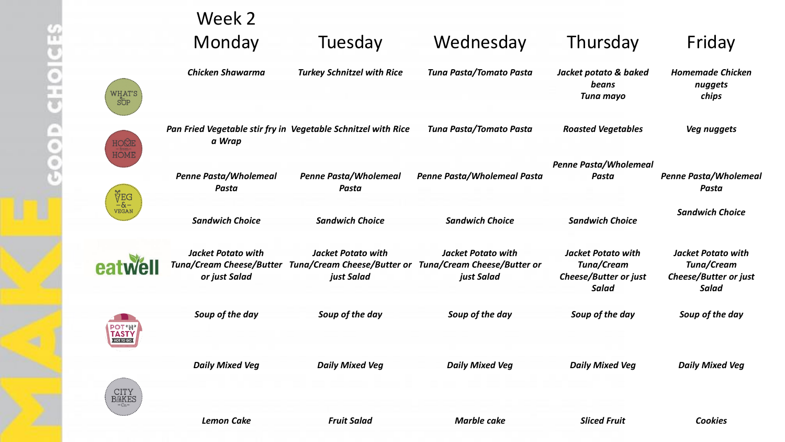e

|                                | Week 2                                                                        |                                                               |                                                                                                    |                                                                                  |                                                                                  |
|--------------------------------|-------------------------------------------------------------------------------|---------------------------------------------------------------|----------------------------------------------------------------------------------------------------|----------------------------------------------------------------------------------|----------------------------------------------------------------------------------|
|                                | Monday                                                                        | Tuesday                                                       | Wednesday                                                                                          | Thursday                                                                         | Friday                                                                           |
| $\rm{HAT'S}$                   | <b>Chicken Shawarma</b>                                                       | <b>Turkey Schnitzel with Rice</b>                             | Tuna Pasta/Tomato Pasta                                                                            | Jacket potato & baked<br>beans<br>Tuna mayo                                      | <b>Homemade Chicken</b><br>nuggets<br>chips                                      |
|                                | a Wrap                                                                        | Pan Fried Vegetable stir fry in Vegetable Schnitzel with Rice | Tuna Pasta/Tomato Pasta                                                                            | <b>Roasted Vegetables</b>                                                        | Veg nuggets                                                                      |
|                                | Penne Pasta/Wholemeal<br>Pasta                                                | Penne Pasta/Wholemeal<br>Pasta                                | Penne Pasta/Wholemeal Pasta                                                                        | <b>Penne Pasta/Wholemeal</b><br>Pasta                                            | Penne Pasta/Wholemea<br>Pasta                                                    |
| ЎЕG<br>−&−<br><sup>∪еgаn</sup> | <b>Sandwich Choice</b>                                                        | <b>Sandwich Choice</b>                                        | <b>Sandwich Choice</b>                                                                             | <b>Sandwich Choice</b>                                                           | <b>Sandwich Choice</b>                                                           |
|                                | <b>Jacket Potato with</b><br><b>Tuna/Cream Cheese/Butter</b><br>or just Salad | <b>Jacket Potato with</b><br>just Salad                       | <b>Jacket Potato with</b><br>Tuna/Cream Cheese/Butter or Tuna/Cream Cheese/Butter or<br>just Salad | <b>Jacket Potato with</b><br>Tuna/Cream<br>Cheese/Butter or just<br><b>Salad</b> | <b>Jacket Potato with</b><br>Tuna/Cream<br>Cheese/Butter or just<br><b>Salad</b> |
|                                | Soup of the day                                                               | Soup of the day                                               | Soup of the day                                                                                    | Soup of the day                                                                  | Soup of the day                                                                  |
|                                | <b>Daily Mixed Veg</b>                                                        | <b>Daily Mixed Veg</b>                                        | <b>Daily Mixed Veg</b>                                                                             | <b>Daily Mixed Veg</b>                                                           | <b>Daily Mixed Veg</b>                                                           |
|                                | <b>Lemon Cake</b>                                                             | <b>Fruit Salad</b>                                            | <b>Marble cake</b>                                                                                 | <b>Sliced Fruit</b>                                                              | <b>Cookies</b>                                                                   |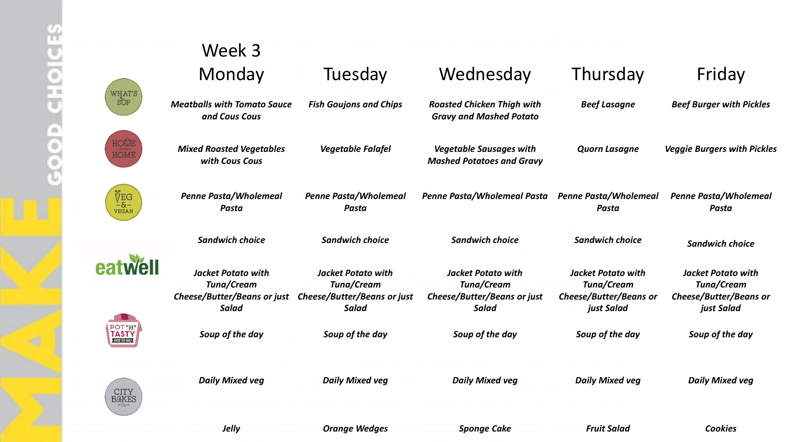|                                             | Week 3                                                                                 |                                                                                        |                                                                                        |                                                                                 |                                                                                 |
|---------------------------------------------|----------------------------------------------------------------------------------------|----------------------------------------------------------------------------------------|----------------------------------------------------------------------------------------|---------------------------------------------------------------------------------|---------------------------------------------------------------------------------|
|                                             |                                                                                        |                                                                                        |                                                                                        |                                                                                 |                                                                                 |
|                                             | Monday                                                                                 | Tuesday                                                                                | Wednesday                                                                              | Thursday                                                                        | Friday                                                                          |
| WHAT'S<br>SÖP                               | <b>Meatballs with Tomato Sauce</b><br>and Cous Cous                                    | <b>Fish Goujons and Chips</b>                                                          | <b>Roasted Chicken Thigh with</b><br><b>Gravy and Mashed Potato</b>                    | <b>Beef Lasagne</b>                                                             | <b>Beef Burger with Pickles</b>                                                 |
| HOQE<br><b>HOME</b>                         | <b>Mixed Roasted Vegetables</b><br>with Cous Cous                                      | <b>Vegetable Falafel</b>                                                               | <b>Vegetable Sausages with</b><br><b>Mashed Potatoes and Gravy</b>                     | <b>Quorn Lasagne</b>                                                            | <b>Veggie Burgers with Pickles</b>                                              |
| ∲EG<br>−&−<br><b>VEGAN</b>                  | <b>Penne Pasta/Wholemeal</b><br><b>Pasta</b>                                           | <b>Penne Pasta/Wholemeal</b><br>Pasta                                                  | Penne Pasta/Wholemeal Pasta                                                            | <b>Penne Pasta/Wholemeal</b><br>Pasta                                           | <b>Penne Pasta/Wholemeal</b><br>Pasta                                           |
|                                             | <b>Sandwich choice</b>                                                                 | <b>Sandwich choice</b>                                                                 | <b>Sandwich choice</b>                                                                 | <b>Sandwich choice</b>                                                          | <b>Sandwich choice</b>                                                          |
| <b>Well</b>                                 | <b>Jacket Potato with</b><br>Tuna/Cream<br>Cheese/Butter/Beans or just<br><b>Salad</b> | <b>Jacket Potato with</b><br>Tuna/Cream<br>Cheese/Butter/Beans or just<br><b>Salad</b> | <b>Jacket Potato with</b><br>Tuna/Cream<br>Cheese/Butter/Beans or just<br><b>Salad</b> | <b>Jacket Potato with</b><br>Tuna/Cream<br>Cheese/Butter/Beans or<br>just Salad | <b>Jacket Potato with</b><br>Tuna/Cream<br>Cheese/Butter/Beans or<br>just Salad |
| <b>POT</b> 'N'<br>TASTY<br><b>IOT TO GO</b> | Soup of the day                                                                        | Soup of the day                                                                        | Soup of the day                                                                        | Soup of the day                                                                 | Soup of the day                                                                 |
| CITY<br><b>BAKES</b>                        | <b>Daily Mixed veg</b>                                                                 | <b>Daily Mixed veg</b>                                                                 | <b>Daily Mixed veg</b>                                                                 | <b>Daily Mixed veg</b>                                                          | <b>Daily Mixed veg</b>                                                          |
|                                             | <b>Jelly</b>                                                                           | <b>Orange Wedges</b>                                                                   | <b>Sponge Cake</b>                                                                     | <b>Fruit Salad</b>                                                              | <b>Cookies</b>                                                                  |